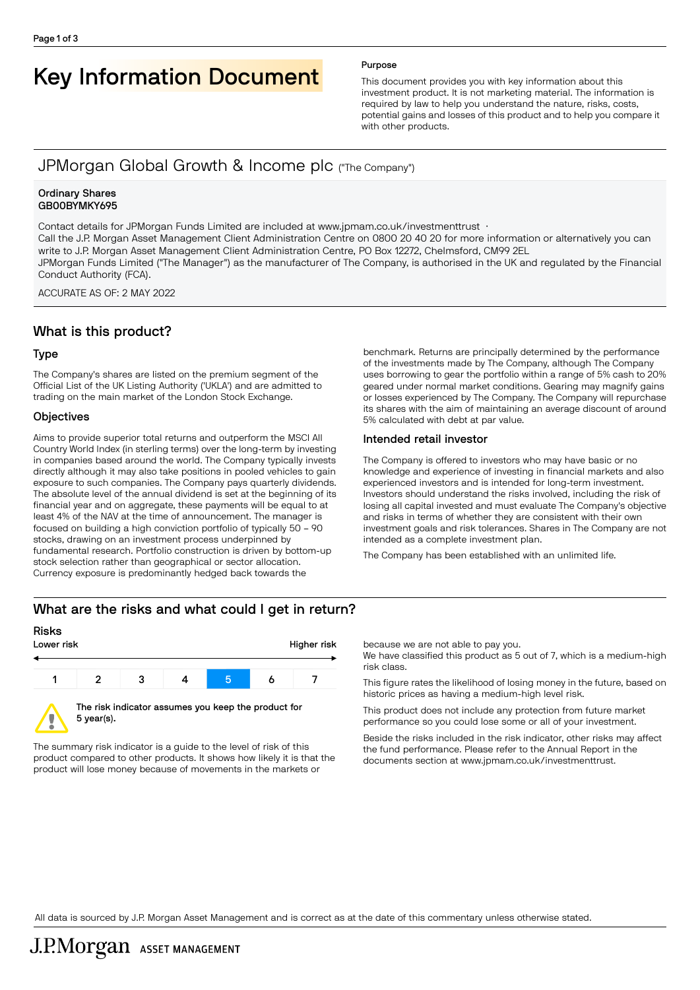# Key Information Document Purpose

This document provides you with key information about this investment product. It is not marketing material. The information is required by law to help you understand the nature, risks, costs, potential gains and losses of this product and to help you compare it with other products.

# JPMorgan Global Growth & Income plc ("The Company")

#### Ordinary Shares GB00BYMKY695

Contact details for JPMorgan Funds Limited are included at www.jpmam.co.uk/investmenttrust · Call the J.P. Morgan Asset Management Client Administration Centre on 0800 20 40 20 for more information or alternatively you can write to J.P. Morgan Asset Management Client Administration Centre, PO Box 12272, Chelmsford, CM99 2EL JPMorgan Funds Limited ("The Manager") as the manufacturer of The Company, is authorised in the UK and regulated by the Financial Conduct Authority (FCA).

ACCURATE AS OF: 2 MAY 2022

# What is this product?

### Type

The Company's shares are listed on the premium segment of the Official List of the UK Listing Authority ('UKLA') and are admitted to trading on the main market of the London Stock Exchange.

#### **Objectives**

Aims to provide superior total returns and outperform the MSCI All Country World Index (in sterling terms) over the long-term by investing in companies based around the world. The Company typically invests directly although it may also take positions in pooled vehicles to gain exposure to such companies. The Company pays quarterly dividends. The absolute level of the annual dividend is set at the beginning of its financial year and on aggregate, these payments will be equal to at least 4% of the NAV at the time of announcement. The manager is focused on building a high conviction portfolio of typically 50 – 90 stocks, drawing on an investment process underpinned by fundamental research. Portfolio construction is driven by bottom-up stock selection rather than geographical or sector allocation. Currency exposure is predominantly hedged back towards the

benchmark. Returns are principally determined by the performance of the investments made by The Company, although The Company uses borrowing to gear the portfolio within a range of 5% cash to 20% geared under normal market conditions. Gearing may magnify gains or losses experienced by The Company. The Company will repurchase its shares with the aim of maintaining an average discount of around 5% calculated with debt at par value.

#### Intended retail investor

The Company is offered to investors who may have basic or no knowledge and experience of investing in financial markets and also experienced investors and is intended for long-term investment. Investors should understand the risks involved, including the risk of losing all capital invested and must evaluate The Company's objective and risks in terms of whether they are consistent with their own investment goals and risk tolerances. Shares in The Company are not intended as a complete investment plan.

The Company has been established with an unlimited life.

# What are the risks and what could I get in return?

# Risks Lower risk **Higher risk** Higher risk **Higher risk**

5 year(s).



The summary risk indicator is a guide to the level of risk of this product compared to other products. It shows how likely it is that the product will lose money because of movements in the markets or

because we are not able to pay you.

We have classified this product as 5 out of 7, which is a medium-high risk class.

This figure rates the likelihood of losing money in the future, based on historic prices as having a medium-high level risk.

This product does not include any protection from future market performance so you could lose some or all of your investment.

Beside the risks included in the risk indicator, other risks may affect the fund performance. Please refer to the Annual Report in the documents section at [www.jpmam.co.uk/investmenttrust.](www.jpmam.co.uk/investmenttrust)

All data is sourced by J.P. Morgan Asset Management and is correct as at the date of this commentary unless otherwise stated.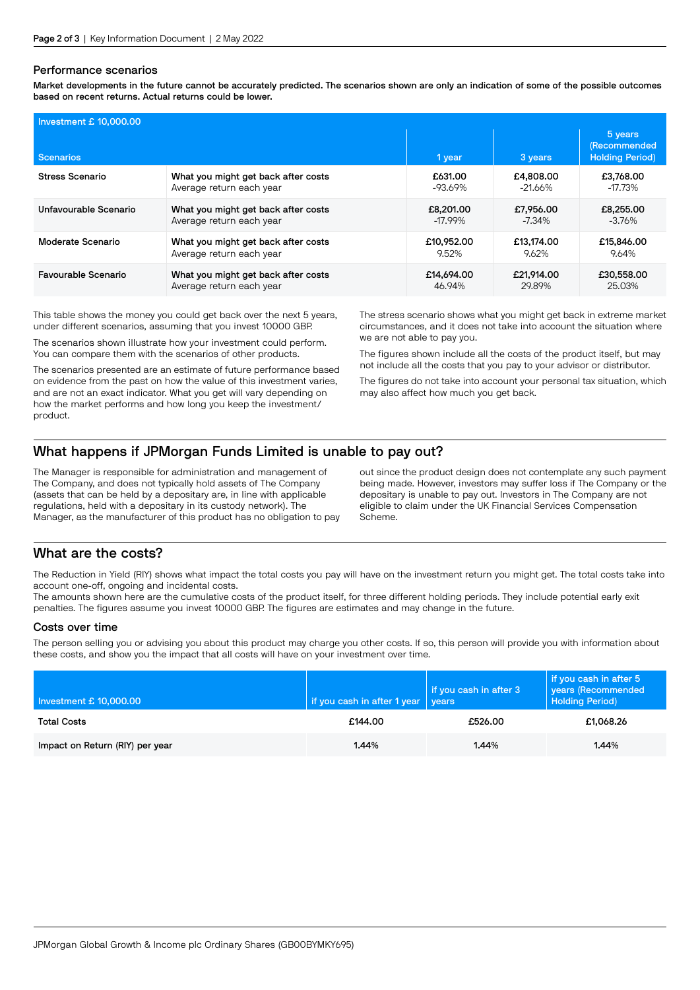#### Performance scenarios

Market developments in the future cannot be accurately predicted. The scenarios shown are only an indication of some of the possible outcomes based on recent returns. Actual returns could be lower.

| Investment £ 10,000.00 |                                     |            |            |                                                   |  |  |
|------------------------|-------------------------------------|------------|------------|---------------------------------------------------|--|--|
| <b>Scenarios</b>       |                                     | 1 year     | 3 years    | 5 years<br>(Recommended<br><b>Holding Period)</b> |  |  |
| Stress Scenario        | What you might get back after costs | £631.00    | £4,808,00  | £3,768.00                                         |  |  |
|                        | Average return each year            | -93.69%    | $-21.66%$  | $-17.73%$                                         |  |  |
| Unfavourable Scenario  | What you might get back after costs | £8,201,00  | £7,956,00  | £8,255.00                                         |  |  |
|                        | Average return each year            | $-17.99\%$ | -7.34%     | $-3.76\%$                                         |  |  |
| Moderate Scenario      | What you might get back after costs | £10,952,00 | £13,174,00 | £15,846.00                                        |  |  |
|                        | Average return each year            | 9.52%      | 9.62%      | 9.64%                                             |  |  |
| Favourable Scenario    | What you might get back after costs | £14,694.00 | £21,914,00 | £30,558,00                                        |  |  |
|                        | Average return each year            | 46.94%     | 29.89%     | 25.03%                                            |  |  |

This table shows the money you could get back over the next 5 years, under different scenarios, assuming that you invest 10000 GBP.

The scenarios shown illustrate how your investment could perform. You can compare them with the scenarios of other products.

The scenarios presented are an estimate of future performance based on evidence from the past on how the value of this investment varies, and are not an exact indicator. What you get will vary depending on how the market performs and how long you keep the investment/ product.

The stress scenario shows what you might get back in extreme market circumstances, and it does not take into account the situation where we are not able to pay you.

The figures shown include all the costs of the product itself, but may not include all the costs that you pay to your advisor or distributor.

The figures do not take into account your personal tax situation, which may also affect how much you get back.

# What happens if JPMorgan Funds Limited is unable to pay out?

The Manager is responsible for administration and management of The Company, and does not typically hold assets of The Company (assets that can be held by a depositary are, in line with applicable regulations, held with a depositary in its custody network). The Manager, as the manufacturer of this product has no obligation to pay out since the product design does not contemplate any such payment being made. However, investors may suffer loss if The Company or the depositary is unable to pay out. Investors in The Company are not eligible to claim under the UK Financial Services Compensation Scheme.

# What are the costs?

The Reduction in Yield (RIY) shows what impact the total costs you pay will have on the investment return you might get. The total costs take into account one-off, ongoing and incidental costs.

The amounts shown here are the cumulative costs of the product itself, for three different holding periods. They include potential early exit penalties. The figures assume you invest 10000 GBP. The figures are estimates and may change in the future.

#### Costs over time

The person selling you or advising you about this product may charge you other costs. If so, this person will provide you with information about these costs, and show you the impact that all costs will have on your investment over time.

| Investment £ 10,000.00          | if you cash in after 1 year | if you cash in after 3<br><b>vears</b> | if you cash in after 5<br>years (Recommended<br><b>Holding Period)</b> |
|---------------------------------|-----------------------------|----------------------------------------|------------------------------------------------------------------------|
| <b>Total Costs</b>              | £144.00                     | £526.00                                | £1,068.26                                                              |
| Impact on Return (RIY) per year | 1.44%                       | 1.44%                                  | 1.44%                                                                  |